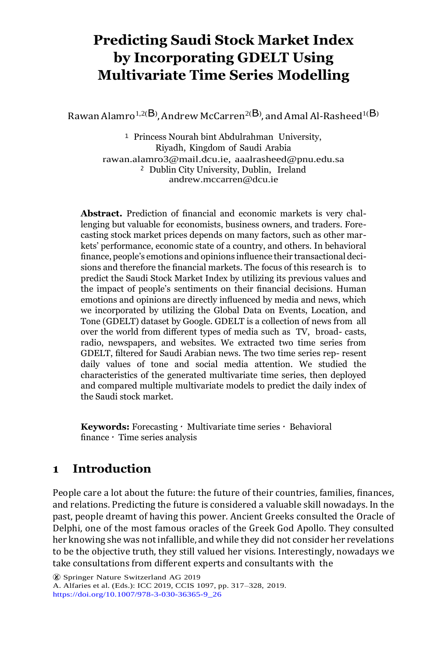# **Predicting Saudi Stock Market Index by Incorporating GDELT Using Multivariate Time Series Modelling**

Rawan Alamro<sup>1,2(</sup>B), Andrew McCarren<sup>2(B)</sup>, and Amal Al-Rasheed<sup>1(B)</sup>

<sup>1</sup> Princess Nourah bint Abdulrahman University, Riyadh, Kingdom of Saudi Arabia [rawan.alamro3@mail.dcu.ie,](mailto:rawan.alamro3@mail.dcu.ie) [aaalrasheed@pnu.edu.sa](mailto:aaalrasheed@pnu.edu.sa) <sup>2</sup> Dublin City University, Dublin, Ireland [andrew.mccarren@dcu.ie](mailto:andrew.mccarren@dcu.ie)

**Abstract.** Prediction of financial and economic markets is very challenging but valuable for economists, business owners, and traders. Forecasting stock market prices depends on many factors, such as other markets' performance, economic state of a country, and others. In behavioral finance, people's emotions and opinions influence their transactional decisions and therefore the financial markets. The focus of this research is to predict the Saudi Stock Market Index by utilizing its previous values and the impact of people's sentiments on their financial decisions. Human emotions and opinions are directly influenced by media and news, which we incorporated by utilizing the Global Data on Events, Location, and Tone (GDELT) dataset by Google. GDELT is a collection of news from all over the world from different types of media such as TV, broad- casts, radio, newspapers, and websites. We extracted two time series from GDELT, filtered for Saudi Arabian news. The two time series rep- resent daily values of tone and social media attention. We studied the characteristics of the generated multivariate time series, then deployed and compared multiple multivariate models to predict the daily index of the Saudi stock market.

**Keywords:** Forecasting *·* Multivariate time series *·* Behavioral finance *·* Time series analysis

## **1 Introduction**

People care a lot about the future: the future of their countries, families, finances, and relations. Predicting the future is considered a valuable skill nowadays. In the past, people dreamt of having this power. Ancient Greeks consulted the Oracle of Delphi, one of the most famous oracles of the Greek God Apollo. They consulted her knowing she was not infallible, and while they did not consider her revelations to be the objective truth, they still valued her visions. Interestingly, nowadays we take consultations from different experts and consultants with the

Ⓧc Springer Nature Switzerland AG 2019

A. Alfaries et al. (Eds.): ICC 2019, CCIS 1097, pp. 317–328, 2019. [https://doi.org/10.1007/978-3-030-36365-9](https://doi.org/10.1007/978-3-030-36365-9_26)\_26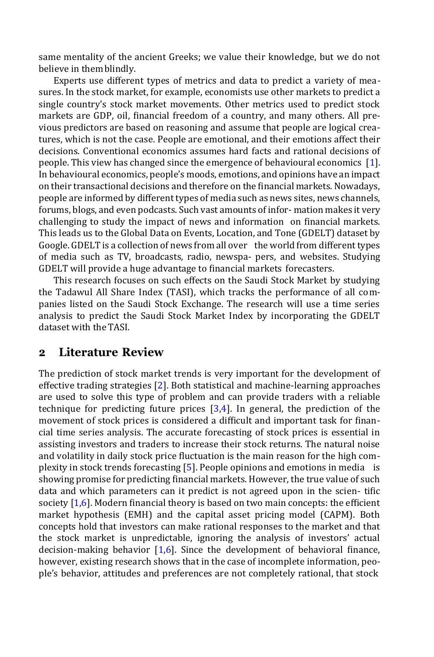same mentality of the ancient Greeks; we value their knowledge, but we do not believe in themblindly.

Experts use different types of metrics and data to predict a variety of measures. In the stock market, for example, economists use other markets to predict a single country's stock market movements. Other metrics used to predict stock markets are GDP, oil, financial freedom of a country, and many others. All previous predictors are based on reasoning and assume that people are logical creatures, which is not the case. People are emotional, and their emotions affect their decisions. Conventional economics assumes hard facts and rational decisions of people. This view has changed since the emergence of behavioural economics [\[1\]](#page-10-0). In behavioural economics, people's moods, emotions, and opinions have an impact on their transactional decisions and therefore on the financial markets. Nowadays, people are informed by different types of media such as news sites, news channels, forums, blogs, and even podcasts. Such vast amounts of infor- mation makes it very challenging to study the impact of news and information on financial markets. This leads us to the Global Data on Events, Location, and Tone (GDELT) dataset by Google. GDELT is a collection of news from all over the world from different types of media such as TV, broadcasts, radio, newspa- pers, and websites. Studying GDELT will provide a huge advantage to financial markets forecasters.

This research focuses on such effects on the Saudi Stock Market by studying the Tadawul All Share Index (TASI), which tracks the performance of all companies listed on the Saudi Stock Exchange. The research will use a time series analysis to predict the Saudi Stock Market Index by incorporating the GDELT dataset with theTASI.

#### **2 Literature Review**

The prediction of stock market trends is very important for the development of effective trading strategies [[2\]](#page-10-1). Both statistical and machine-learning approaches are used to solve this type of problem and can provide traders with a reliable technique for predicting future prices  $[3,4]$  $[3,4]$ . In general, the prediction of the movement of stock prices is considered a difficult and important task for financial time series analysis. The accurate forecasting of stock prices is essential in assisting investors and traders to increase their stock returns. The natural noise and volatility in daily stock price fluctuation is the main reason for the high complexity in stock trends forecasting [\[5\]](#page-10-4). People opinions and emotions in media is showing promise for predicting financial markets. However, the true value of such data and which parameters can it predict is not agreed upon in the scien- tific society  $[1,6]$  $[1,6]$  $[1,6]$ . Modern financial theory is based on two main concepts: the efficient market hypothesis (EMH) and the capital asset pricing model (CAPM). Both concepts hold that investors can make rational responses to the market and that the stock market is unpredictable, ignoring the analysis of investors' actual decision-making behavior  $[1,6]$  $[1,6]$  $[1,6]$ . Since the development of behavioral finance, however, existing research shows that in the case of incomplete information, people's behavior, attitudes and preferences are not completely rational, that stock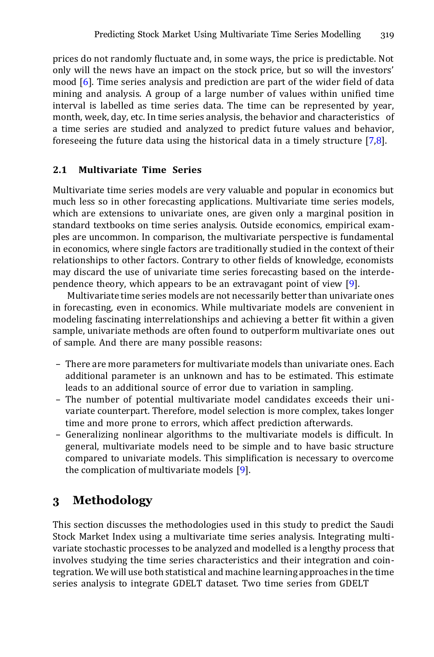prices do not randomly fluctuate and, in some ways, the price is predictable. Not only will the news have an impact on the stock price, but so will the investors' mood [\[6\]](#page-10-5). Time series analysis and prediction are part of the wider field of data mining and analysis. A group of a large number of values within unified time interval is labelled as time series data. The time can be represented by year, month, week, day, etc. In time series analysis, the behavior and characteristics of a time series are studied and analyzed to predict future values and behavior, foreseeing the future data using the historical data in a timely structure [\[7,](#page-10-6)[8\]](#page-11-0).

#### **2.1 Multivariate Time Series**

Multivariate time series models are very valuable and popular in economics but much less so in other forecasting applications. Multivariate time series models, which are extensions to univariate ones, are given only a marginal position in standard textbooks on time series analysis. Outside economics, empirical examples are uncommon. In comparison, the multivariate perspective is fundamental in economics, where single factors are traditionally studied in the context of their relationships to other factors. Contrary to other fields of knowledge, economists may discard the use of univariate time series forecasting based on the interdependence theory, which appears to be an extravagant point of view [\[9\]](#page-11-1).

Multivariate time series models are not necessarily better than univariate ones in forecasting, even in economics. While multivariate models are convenient in modeling fascinating interrelationships and achieving a better fit within a given sample, univariate methods are often found to outperform multivariate ones out of sample. And there are many possible reasons:

- There are more parameters for multivariate models than univariate ones. Each additional parameter is an unknown and has to be estimated. This estimate leads to an additional source of error due to variation in sampling.
- The number of potential multivariate model candidates exceeds their univariate counterpart. Therefore, model selection is more complex, takes longer time and more prone to errors, which affect prediction afterwards.
- Generalizing nonlinear algorithms to the multivariate models is difficult. In general, multivariate models need to be simple and to have basic structure compared to univariate models. This simplification is necessary to overcome the complication of multivariate models [\[9\]](#page-11-1).

## **3 Methodology**

This section discusses the methodologies used in this study to predict the Saudi Stock Market Index using a multivariate time series analysis. Integrating multivariate stochastic processes to be analyzed and modelled is a lengthy process that involves studying the time series characteristics and their integration and cointegration. We will use both statistical and machine learning approaches in the time series analysis to integrate GDELT dataset. Two time series from GDELT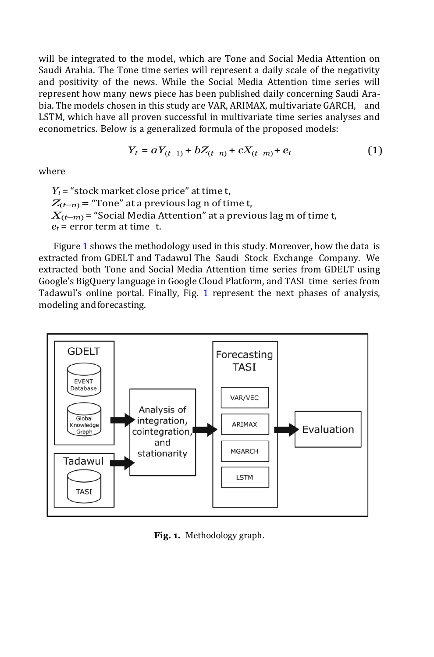will be integrated to the model, which are Tone and Social Media Attention on Saudi Arabia. The Tone time series will represent a daily scale of the negativity and positivity of the news. While the Social Media Attention time series will represent how many news piece has been published daily concerning Saudi Arabia. The models chosen in this study are VAR, ARIMAX, multivariate GARCH, and LSTM, which have all proven successful in multivariate time series analyses and econometrics. Below is a generalized formula of the proposed models:

$$
Y_t = aY_{(t-1)} + bZ_{(t-n)} + cX_{(t-m)} + e_t
$$
 (1)

where

 $Y_t$  = "stock market close price" at time t,  $Z_{(t-n)}$  = "Tone" at a previous lag n of time t, *X*(*t*−*m*) = "Social Media Attention" at a previous lag m of time t,  $e_t$  = error term at time t.

Figure [1](#page-3-0) shows the methodology used in this study. Moreover, how the data is extracted from GDELT and Tadawul The Saudi Stock Exchange Company. We extracted both Tone and Social Media Attention time series from GDELT using Google's BigQuery language in Google Cloud Platform, and TASI time series from Tadawul's online portal. Finally, Fig. [1](#page-3-0) represent the next phases of analysis, modeling andforecasting.



<span id="page-3-0"></span>**Fig. 1.** Methodology graph.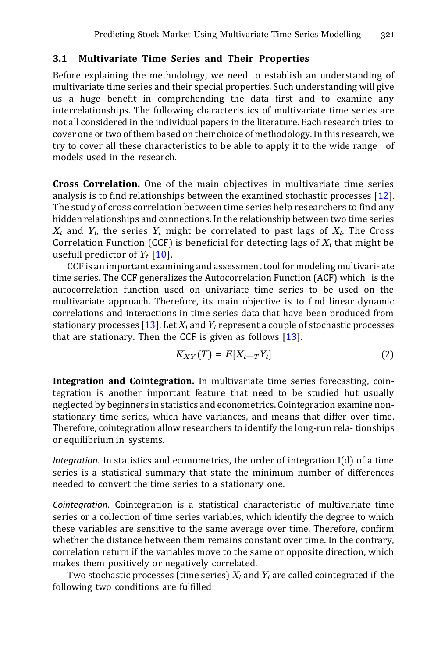#### **3.1 Multivariate Time Series and Their Properties**

Before explaining the methodology, we need to establish an understanding of multivariate time series and their special properties. Such understanding will give us a huge benefit in comprehending the data first and to examine any interrelationships. The following characteristics of multivariate time series are not all considered in the individual papers in the literature. Each research tries to cover one or two ofthem based on their choice of methodology.In this research, we try to cover all these characteristics to be able to apply it to the wide range of models used in the research.

**Cross Correlation.** One of the main objectives in multivariate time series analysis is to find relationships between the examined stochastic processes [[12\]](#page-11-2). The study of cross correlation between time series help researchers to find any hidden relationships and connections. In the relationship between two time series  $X_t$  and  $Y_t$ , the series  $Y_t$  might be correlated to past lags of  $X_t$ . The Cross Correlation Function (CCF) is beneficial for detecting lags of  $X_t$  that might be usefull predictor of  $Y_t$  [\[10\]](#page-11-3).

CCF is an important examining and assessment tool for modeling multivari- ate time series. The CCF generalizes the Autocorrelation Function (ACF) which is the autocorrelation function used on univariate time series to be used on the multivariate approach. Therefore, its main objective is to find linear dynamic correlations and interactions in time series data that have been produced from stationary processes [\[13\]](#page-11-4). Let  $X_t$  and  $Y_t$  represent a couple of stochastic processes that are stationary. Then the CCF is given as follows  $[13]$ .

$$
K_{XY}(T) = E[X_{t-T}Y_t]
$$
\n(2)

**Integration and Cointegration.** In multivariate time series forecasting, cointegration is another important feature that need to be studied but usually neglected by beginners in statistics and econometrics. Cointegration examine nonstationary time series, which have variances, and means that differ over time. Therefore, cointegration allow researchers to identify the long-run rela- tionships or equilibrium in systems.

*Integration.* In statistics and econometrics, the order of integration I(d) of a time series is a statistical summary that state the minimum number of differences needed to convert the time series to a stationary one.

*Cointegration.* Cointegration is a statistical characteristic of multivariate time series or a collection of time series variables, which identify the degree to which these variables are sensitive to the same average over time. Therefore, confirm whether the distance between them remains constant over time. In the contrary, correlation return if the variables move to the same or opposite direction, which makes them positively or negatively correlated.

Two stochastic processes (time series)  $X_t$  and  $Y_t$  are called cointegrated if the following two conditions are fulfilled: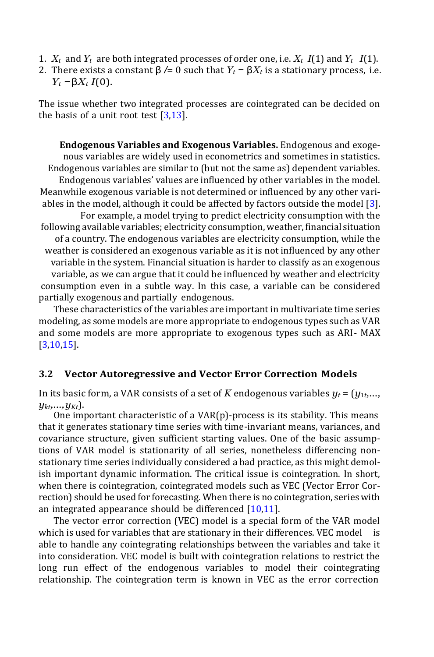- 1.  $X_t$  and  $Y_t$  are both integrated processes of order one, i.e.  $X_t$   $I(1)$  and  $Y_t$   $I(1)$ .
- 2. There exists a constant β  $\angle$  = 0 such that  $Y_t$  − β $X_t$  is a stationary process, i.e. *Y<sup>t</sup> −*β*X<sup>t</sup> I*(0).

The issue whether two integrated processes are cointegrated can be decided on the basis of a unit root test  $[3,13]$  $[3,13]$ .

**Endogenous Variables and Exogenous Variables.** Endogenous and exogenous variables are widely used in econometrics and sometimes in statistics. Endogenous variables are similar to (but not the same as) dependent variables. Endogenous variables' values are influenced by other variables in the model. Meanwhile exogenous variable is not determined or influenced by any other variables in the model, although it could be affected by factors outside the model [[3\]](#page-10-2).

For example, a model trying to predict electricity consumption with the following available variables; electricity consumption, weather, financial situation of a country. The endogenous variables are electricity consumption, while the weather is considered an exogenous variable as it is not influenced by any other variable in the system. Financial situation is harder to classify as an exogenous variable, as we can argue that it could be influenced by weather and electricity consumption even in a subtle way. In this case, a variable can be considered partially exogenous and partially endogenous.

These characteristics of the variables are important in multivariate time series modeling, as some models are more appropriate to endogenous types such as VAR and some models are more appropriate to exogenous types such as ARI- MAX [\[3,](#page-10-2)[10,](#page-11-3)[15\]](#page-11-5).

#### **3.2 Vector Autoregressive and Vector Error Correction Models**

In its basic form, a VAR consists of a set of *K* endogenous variables  $y_t = (y_{1t},...,$ *ykt,...,yKt*).

One important characteristic of a VAR(p)-process is its stability. This means that it generates stationary time series with time-invariant means, variances, and covariance structure, given sufficient starting values. One of the basic assumptions of VAR model is stationarity of all series, nonetheless differencing nonstationary time series individually considered a bad practice, as this might demolish important dynamic information. The critical issue is cointegration. In short, when there is cointegration, cointegrated models such as VEC (Vector Error Correction) should be used for forecasting. When there is no cointegration, series with an integrated appearance should be differenced [\[10](#page-11-3)[,11\]](#page-11-6).

The vector error correction (VEC) model is a special form of the VAR model which is used for variables that are stationary in their differences. VEC model is able to handle any cointegrating relationships between the variables and take it into consideration. VEC model is built with cointegration relations to restrict the long run effect of the endogenous variables to model their cointegrating relationship. The cointegration term is known in VEC as the error correction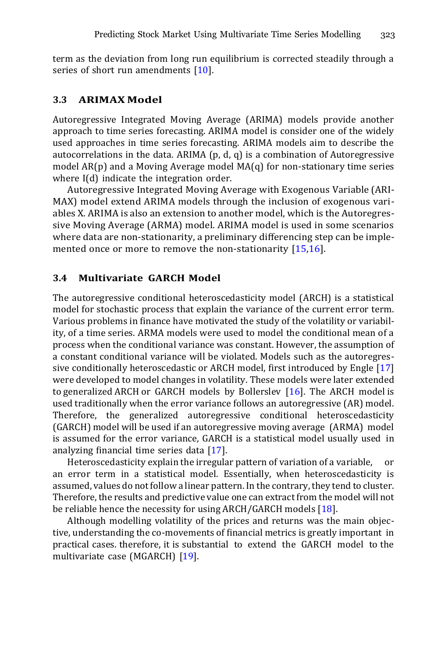term as the deviation from long run equilibrium is corrected steadily through a series of short run amendments [\[10\]](#page-11-3).

#### **3.3 ARIMAX Model**

Autoregressive Integrated Moving Average (ARIMA) models provide another approach to time series forecasting. ARIMA model is consider one of the widely used approaches in time series forecasting. ARIMA models aim to describe the autocorrelations in the data. ARIMA (p, d, q) is a combination of Autoregressive model  $AR(p)$  and a Moving Average model  $MA(q)$  for non-stationary time series where I(d) indicate the integration order.

Autoregressive Integrated Moving Average with Exogenous Variable (ARI-MAX) model extend ARIMA models through the inclusion of exogenous variables X. ARIMA is also an extension to another model, which is the Autoregressive Moving Average (ARMA) model. ARIMA model is used in some scenarios where data are non-stationarity, a preliminary differencing step can be imple-mented once or more to remove the non-stationarity [\[15,](#page-11-5)[16\]](#page-11-7).

#### **3.4 Multivariate GARCH Model**

The autoregressive conditional heteroscedasticity model (ARCH) is a statistical model for stochastic process that explain the variance of the current error term. Various problems in finance have motivated the study of the volatility or variability, of a time series. ARMA models were used to model the conditional mean of a process when the conditional variance was constant. However, the assumption of a constant conditional variance will be violated. Models such as the autoregressive conditionally heteroscedastic or ARCH model, first introduced by Engle [[17\]](#page-11-8) were developed to model changes in volatility. These models were later extended to generalized ARCH or GARCH models by Bollerslev [\[16\]](#page-11-7). The ARCH model is used traditionally when the error variance follows an autoregressive (AR) model. Therefore, the generalized autoregressive conditional heteroscedasticity (GARCH) model will be used if an autoregressive moving average (ARMA) model is assumed for the error variance, GARCH is a statistical model usually used in analyzing financial time series data [\[17\]](#page-11-8).

Heteroscedasticity explain the irregular pattern of variation of a variable, or an error term in a statistical model. Essentially, when heteroscedasticity is assumed, values do not follow a linear pattern. In the contrary, they tend to cluster. Therefore, the results and predictive value one can extract from the model will not be reliable hence the necessity for using ARCH/GARCH models [\[18\]](#page-11-9).

Although modelling volatility of the prices and returns was the main objective, understanding the co-movements of financial metrics is greatly important in practical cases. therefore, it is substantial to extend the GARCH model to the multivariate case (MGARCH) [\[19\]](#page-11-10).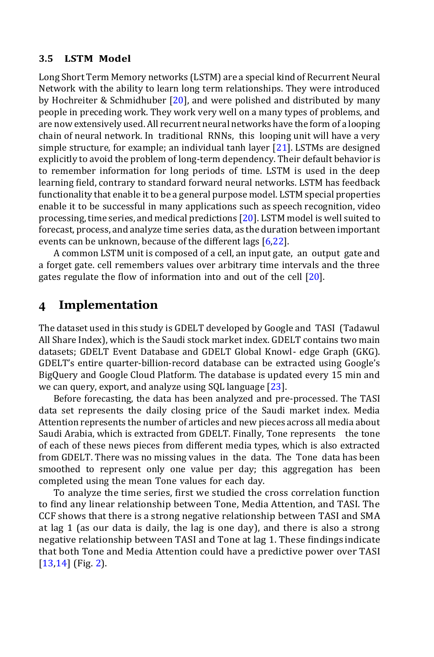#### **3.5 LSTM Model**

Long Short Term Memory networks (LSTM) are a special kind of Recurrent Neural Network with the ability to learn long term relationships. They were introduced by Hochreiter & Schmidhuber  $[20]$ , and were polished and distributed by many people in preceding work. They work very well on a many types of problems, and are now extensively used. All recurrent neural networks have the form of a looping chain of neural network. In traditional RNNs, this looping unit will have a very simple structure, for example; an individual tanh layer [\[21\]](#page-11-12). LSTMs are designed explicitly to avoid the problem of long-term dependency. Their default behavior is to remember information for long periods of time. LSTM is used in the deep learning field, contrary to standard forward neural networks. LSTM has feedback functionality that enable it to be a general purpose model. LSTM special properties enable it to be successful in many applications such as speech recognition, video processing, time series, and medical predictions [\[20\]](#page-11-11). LSTM model is well suited to forecast, process, and analyze time series data, as the duration between important events can be unknown, because of the different lags [\[6,](#page-10-5)[22\]](#page-11-13).

A common LSTM unit is composed of a cell, an input gate, an output gate and a forget gate. cell remembers values over arbitrary time intervals and the three gates regulate the flow of information into and out of the cell [\[20\]](#page-11-11).

## **4 Implementation**

The dataset used in this study is GDELT developed by Google and TASI (Tadawul All Share Index), which is the Saudi stock market index. GDELT contains two main datasets; GDELT Event Database and GDELT Global Knowl- edge Graph (GKG). GDELT's entire quarter-billion-record database can be extracted using Google's BigQuery and Google Cloud Platform. The database is updated every 15 min and we can query, export, and analyze using SQL language [\[23\]](#page-11-14).

Before forecasting, the data has been analyzed and pre-processed. The TASI data set represents the daily closing price of the Saudi market index. Media Attention represents the number of articles and new pieces across all media about Saudi Arabia, which is extracted from GDELT. Finally, Tone represents the tone of each of these news pieces from different media types, which is also extracted from GDELT. There was no missing values in the data. The Tone data has been smoothed to represent only one value per day; this aggregation has been completed using the mean Tone values for each day.

To analyze the time series, first we studied the cross correlation function to find any linear relationship between Tone, Media Attention, and TASI. The CCF shows that there is a strong negative relationship between TASI and SMA at lag 1 (as our data is daily, the lag is one day), and there is also a strong negative relationship between TASI and Tone at lag 1. These findings indicate that both Tone and Media Attention could have a predictive power over TASI [\[13,](#page-11-4)[14\]](#page-11-15) (Fig. [2\)](#page-8-0).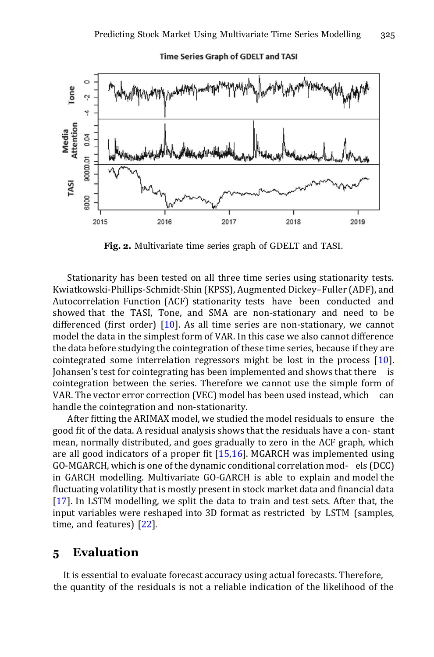

Time Series Graph of GDELT and TASI

<span id="page-8-0"></span>**Fig. 2.** Multivariate time series graph of GDELT and TASI.

Stationarity has been tested on all three time series using stationarity tests. Kwiatkowski-Phillips-Schmidt-Shin (KPSS), Augmented Dickey–Fuller (ADF), and Autocorrelation Function (ACF) stationarity tests have been conducted and showed that the TASI, Tone, and SMA are non-stationary and need to be differenced (first order) [[10\]](#page-11-3). As all time series are non-stationary, we cannot model the data in the simplest form of VAR. In this case we also cannot difference the data before studying the cointegration of these time series, because if they are cointegrated some interrelation regressors might be lost in the process [\[10\]](#page-11-3). Johansen's test for cointegrating has been implemented and shows that there is cointegration between the series. Therefore we cannot use the simple form of VAR. The vector error correction (VEC) model has been used instead, which can handle the cointegration and non-stationarity.

After fitting the ARIMAX model, we studied the model residuals to ensure the good fit of the data. A residual analysis shows that the residuals have a con- stant mean, normally distributed, and goes gradually to zero in the ACF graph, which are all good indicators of a proper fit [[15,](#page-11-5)[16\]](#page-11-7). MGARCH was implemented using GO-MGARCH, which is one of the dynamic conditional correlation mod- els (DCC) in GARCH modelling. Multivariate GO-GARCH is able to explain and model the fluctuating volatility that is mostly present in stock market data and financial data [\[17\]](#page-11-8). In LSTM modelling, we split the data to train and test sets. After that, the input variables were reshaped into 3D format as restricted by LSTM (samples, time, and features) [\[22\]](#page-11-13).

#### **5 Evaluation**

It is essential to evaluate forecast accuracy using actual forecasts. Therefore, the quantity of the residuals is not a reliable indication of the likelihood of the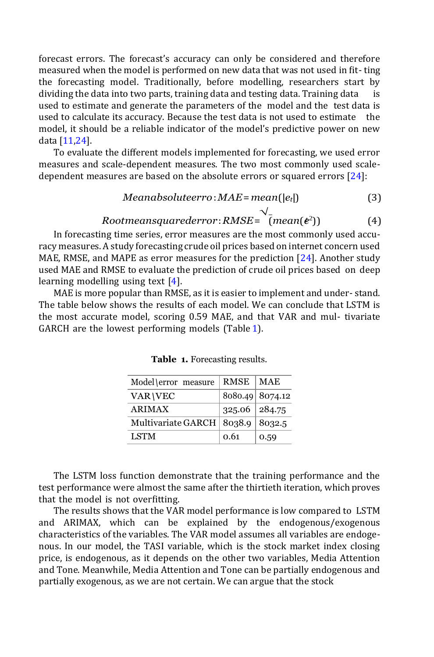forecast errors. The forecast's accuracy can only be considered and therefore measured when the model is performed on new data that was not used in fit- ting the forecasting model. Traditionally, before modelling, researchers start by dividing the data into two parts, training data and testing data. Training data is used to estimate and generate the parameters of the model and the test data is used to calculate its accuracy. Because the test data is not used to estimate the model, it should be a reliable indicator of the model's predictive power on new data [\[11,](#page-11-6)[24\]](#page-11-16).

To evaluate the different models implemented for forecasting, we used error measures and scale-dependent measures. The two most commonly used scaledependent measures are based on the absolute errors or squared errors  $[24]$ :

√ *Meanabsoluteerro*:*MAE*=*mean*(*|et|*) (3)

$$
Rootmeansquare derror: RMSE = (mean(e2))
$$
 (4)

In forecasting time series, error measures are the most commonly used accuracy measures. A study forecasting crude oil prices based on internet concern used MAE, RMSE, and MAPE as error measures for the prediction [\[24\]](#page-11-16). Another study used MAE and RMSE to evaluate the prediction of crude oil prices based on deep learning modelling using text [\[4\]](#page-10-3).

MAE is more popular than RMSE, as it is easier to implement and under- stand. The table below shows the results of each model. We can conclude that LSTM is the most accurate model, scoring 0.59 MAE, and that VAR and mul- tivariate GARCH are the lowest performing models (Table [1\)](#page-9-0).

| Model \error measure | RMSE <sup>1</sup> | MAE             |
|----------------------|-------------------|-----------------|
| <b>VAR \VEC</b>      |                   | 8080.49 8074.12 |
| <b>ARIMAX</b>        | $325.06$   284.75 |                 |
| Multivariate GARCH   | 8038.9            | 8032.5          |
| <b>LSTM</b>          | 0.61              | 0.59            |

<span id="page-9-0"></span>Table 1. Forecasting results.

The LSTM loss function demonstrate that the training performance and the test performance were almost the same after the thirtieth iteration, which proves that the model is not overfitting.

The results shows that the VAR model performance is low compared to LSTM and ARIMAX, which can be explained by the endogenous/exogenous characteristics of the variables. The VAR model assumes all variables are endogenous. In our model, the TASI variable, which is the stock market index closing price, is endogenous, as it depends on the other two variables, Media Attention and Tone. Meanwhile, Media Attention and Tone can be partially endogenous and partially exogenous, as we are not certain. We can argue that the stock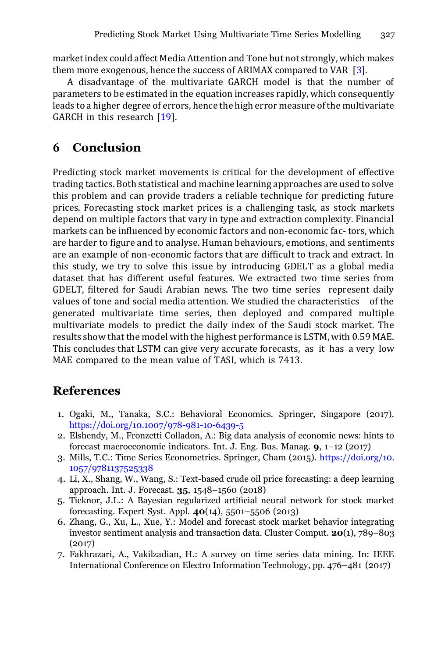market index could affect Media Attention and Tone but not strongly, which makes them more exogenous, hence the success of ARIMAX compared to VAR [\[3\]](#page-10-2).

A disadvantage of the multivariate GARCH model is that the number of parameters to be estimated in the equation increases rapidly, which consequently leads to a higher degree of errors, hence the high error measure of the multivariate GARCH in this research [\[19\]](#page-11-10).

## **6 Conclusion**

Predicting stock market movements is critical for the development of effective trading tactics. Both statistical and machine learning approaches are used to solve this problem and can provide traders a reliable technique for predicting future prices. Forecasting stock market prices is a challenging task, as stock markets depend on multiple factors that vary in type and extraction complexity. Financial markets can be influenced by economic factors and non-economic fac- tors, which are harder to figure and to analyse. Human behaviours, emotions, and sentiments are an example of non-economic factors that are difficult to track and extract. In this study, we try to solve this issue by introducing GDELT as a global media dataset that has different useful features. We extracted two time series from GDELT, filtered for Saudi Arabian news. The two time series represent daily values of tone and social media attention. We studied the characteristics of the generated multivariate time series, then deployed and compared multiple multivariate models to predict the daily index of the Saudi stock market. The results show that the model with the highest performance is LSTM, with 0.59 MAE. This concludes that LSTM can give very accurate forecasts, as it has a very low MAE compared to the mean value of TASI, which is 7413.

### **References**

- <span id="page-10-0"></span>1. Ogaki, M., Tanaka, S.C.: Behavioral Economics. Springer, Singapore (2017). <https://doi.org/10.1007/978-981-10-6439-5>
- <span id="page-10-1"></span>2. Elshendy, M., Fronzetti Colladon, A.: Big data analysis of economic news: hints to forecast macroeconomic indicators. Int. J. Eng. Bus. Manag. **9**, 1–12 (2017)
- <span id="page-10-2"></span>3. Mills, T.C.: Time Series Econometrics. Springer, Cham (2015)[. https://doi.org/10.](https://doi.org/10.1057/9781137525338) [1057/9781137525338](https://doi.org/10.1057/9781137525338)
- <span id="page-10-3"></span>4. Li, X., Shang, W., Wang, S.: Text-based crude oil price forecasting: a deep learning approach. Int. J. Forecast. **35**, 1548–1560 (2018)
- <span id="page-10-4"></span>5. Ticknor, J.L.: A Bayesian regularized artificial neural network for stock market forecasting. Expert Syst. Appl. **40**(14), 5501–5506 (2013)
- <span id="page-10-5"></span>6. Zhang, G., Xu, L., Xue, Y.: Model and forecast stock market behavior integrating investor sentiment analysis and transaction data. Cluster Comput. **20**(1), 789–803 (2017)
- <span id="page-10-6"></span>7. Fakhrazari, A., Vakilzadian, H.: A survey on time series data mining. In: IEEE International Conference on Electro Information Technology, pp. 476–481 (2017)